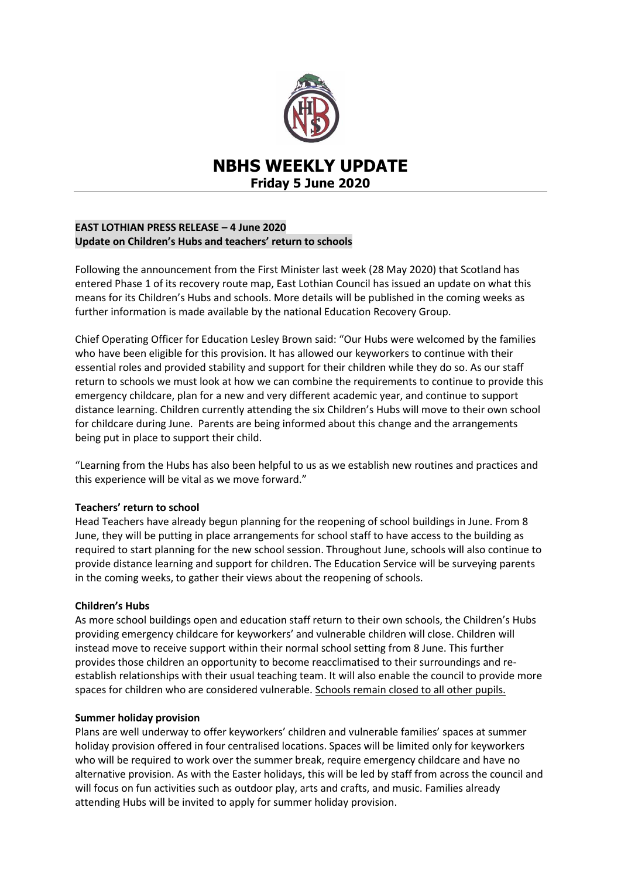

# **NBHS WEEKLY UPDATE Friday 5 June 2020**

# **EAST LOTHIAN PRESS RELEASE – 4 June 2020 Update on Children's Hubs and teachers' return to schools**

Following the announcement from the First Minister last week (28 May 2020) that Scotland has entered Phase 1 of its recovery route map, East Lothian Council has issued an update on what this means for its Children's Hubs and schools. More details will be published in the coming weeks as further information is made available by the national Education Recovery Group.

Chief Operating Officer for Education Lesley Brown said: "Our Hubs were welcomed by the families who have been eligible for this provision. It has allowed our keyworkers to continue with their essential roles and provided stability and support for their children while they do so. As our staff return to schools we must look at how we can combine the requirements to continue to provide this emergency childcare, plan for a new and very different academic year, and continue to support distance learning. Children currently attending the six Children's Hubs will move to their own school for childcare during June. Parents are being informed about this change and the arrangements being put in place to support their child.

"Learning from the Hubs has also been helpful to us as we establish new routines and practices and this experience will be vital as we move forward."

#### **Teachers' return to school**

Head Teachers have already begun planning for the reopening of school buildings in June. From 8 June, they will be putting in place arrangements for school staff to have access to the building as required to start planning for the new school session. Throughout June, schools will also continue to provide distance learning and support for children. The Education Service will be surveying parents in the coming weeks, to gather their views about the reopening of schools.

# **Children's Hubs**

As more school buildings open and education staff return to their own schools, the Children's Hubs providing emergency childcare for keyworkers' and vulnerable children will close. Children will instead move to receive support within their normal school setting from 8 June. This further provides those children an opportunity to become reacclimatised to their surroundings and reestablish relationships with their usual teaching team. It will also enable the council to provide more spaces for children who are considered vulnerable. Schools remain closed to all other pupils.

#### **Summer holiday provision**

Plans are well underway to offer keyworkers' children and vulnerable families' spaces at summer holiday provision offered in four centralised locations. Spaces will be limited only for keyworkers who will be required to work over the summer break, require emergency childcare and have no alternative provision. As with the Easter holidays, this will be led by staff from across the council and will focus on fun activities such as outdoor play, arts and crafts, and music. Families already attending Hubs will be invited to apply for summer holiday provision.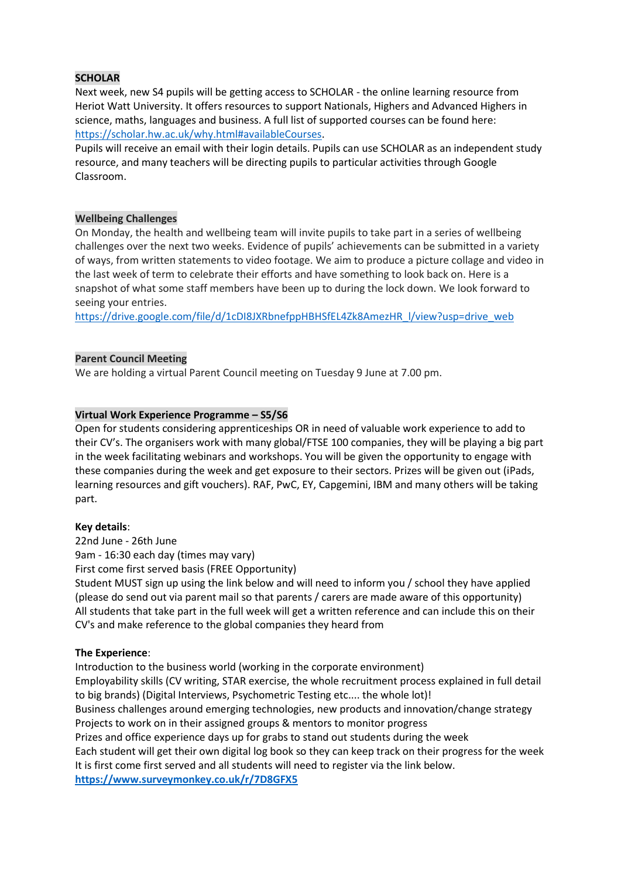# **SCHOLAR**

Next week, new S4 pupils will be getting access to SCHOLAR - the online learning resource from Heriot Watt University. It offers resources to support Nationals, Highers and Advanced Highers in science, maths, languages and business. A full list of supported courses can be found here: [https://scholar.hw.ac.uk/why.html#availableCourses.](https://scholar.hw.ac.uk/why.html#availableCourses)

Pupils will receive an email with their login details. Pupils can use SCHOLAR as an independent study resource, and many teachers will be directing pupils to particular activities through Google Classroom.

## **Wellbeing Challenges**

On Monday, the health and wellbeing team will invite pupils to take part in a series of wellbeing challenges over the next two weeks. Evidence of pupils' achievements can be submitted in a variety of ways, from written statements to video footage. We aim to produce a picture collage and video in the last week of term to celebrate their efforts and have something to look back on. Here is a snapshot of what some staff members have been up to during the lock down. We look forward to seeing your entries.

[https://drive.google.com/file/d/1cDI8JXRbnefppHBHSfEL4Zk8AmezHR\\_l/view?usp=drive\\_web](https://drive.google.com/file/d/1cDI8JXRbnefppHBHSfEL4Zk8AmezHR_l/view?usp=drive_web)

## **Parent Council Meeting**

We are holding a virtual Parent Council meeting on Tuesday 9 June at 7.00 pm.

# **Virtual Work Experience Programme – S5/S6**

Open for students considering apprenticeships OR in need of valuable work experience to add to their CV's. The organisers work with many global/FTSE 100 companies, they will be playing a big part in the week facilitating webinars and workshops. You will be given the opportunity to engage with these companies during the week and get exposure to their sectors. Prizes will be given out (iPads, learning resources and gift vouchers). RAF, PwC, EY, Capgemini, IBM and many others will be taking part.

#### **Key details**:

22nd June - 26th June

9am - 16:30 each day (times may vary)

First come first served basis (FREE Opportunity)

Student MUST sign up using the link below and will need to inform you / school they have applied (please do send out via parent mail so that parents / carers are made aware of this opportunity) All students that take part in the full week will get a written reference and can include this on their CV's and make reference to the global companies they heard from

# **The Experience**:

Introduction to the business world (working in the corporate environment) Employability skills (CV writing, STAR exercise, the whole recruitment process explained in full detail to big brands) (Digital Interviews, Psychometric Testing etc.... the whole lot)! Business challenges around emerging technologies, new products and innovation/change strategy Projects to work on in their assigned groups & mentors to monitor progress Prizes and office experience days up for grabs to stand out students during the week Each student will get their own digital log book so they can keep track on their progress for the week It is first come first served and all students will need to register via the link below. **<https://www.surveymonkey.co.uk/r/7D8GFX5>**